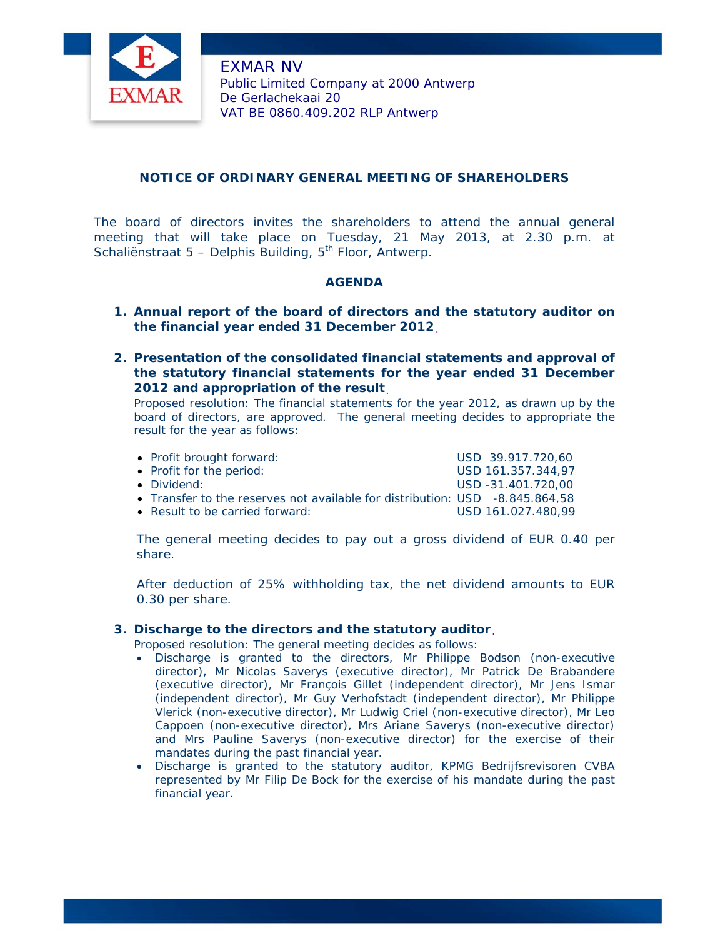

EXMAR NV Public Limited Company at 2000 Antwerp De Gerlachekaai 20 VAT BE 0860.409.202 RLP Antwerp

# **NOTICE OF ORDINARY GENERAL MEETING OF SHAREHOLDERS**

The board of directors invites the shareholders to attend the annual general meeting that will take place on Tuesday, 21 May 2013, at 2.30 p.m. at Schaliënstraat 5 – Delphis Building,  $5<sup>th</sup>$  Floor, Antwerp.

## **AGENDA**

- **1. Annual report of the board of directors and the statutory auditor on the financial year ended 31 December 2012**.
- **2. Presentation of the consolidated financial statements and approval of the statutory financial statements for the year ended 31 December 2012 and appropriation of the result**.

*Proposed resolution:* The financial statements for the year 2012, as drawn up by the board of directors, are approved. The general meeting decides to appropriate the result for the year as follows:

| • Profit brought forward:                                                    | USD 39.917.720.60  |
|------------------------------------------------------------------------------|--------------------|
| • Profit for the period:                                                     | USD 161.357.344.97 |
| • Dividend:                                                                  | USD -31.401.720.00 |
| • Transfer to the reserves not available for distribution: USD -8.845.864,58 |                    |
| • Result to be carried forward:                                              | USD 161.027.480.99 |

The general meeting decides to pay out a gross dividend of EUR 0.40 per share.

After deduction of 25% withholding tax, the net dividend amounts to EUR 0.30 per share.

### **3. Discharge to the directors and the statutory auditor**.

Proposed resolution: The general meeting decides as follows:

- Discharge is granted to the directors, *Mr Philippe Bodson (non-executive director), Mr Nicolas Saverys (executive director), Mr Patrick De Brabandere (executive director), Mr François Gillet (independent director), Mr Jens Ismar (independent director), Mr Guy Verhofstadt (independent director), Mr Philippe Vlerick (non-executive director), Mr Ludwig Criel (non-executive director), Mr Leo Cappoen (non-executive director), Mrs Ariane Saverys (non-executive director) and Mrs Pauline Saverys (non-executive director)* for the exercise of their mandates during the past financial year.
- Discharge is granted to the statutory auditor, KPMG Bedrijfsrevisoren CVBA represented by Mr Filip De Bock for the exercise of his mandate during the past financial year.